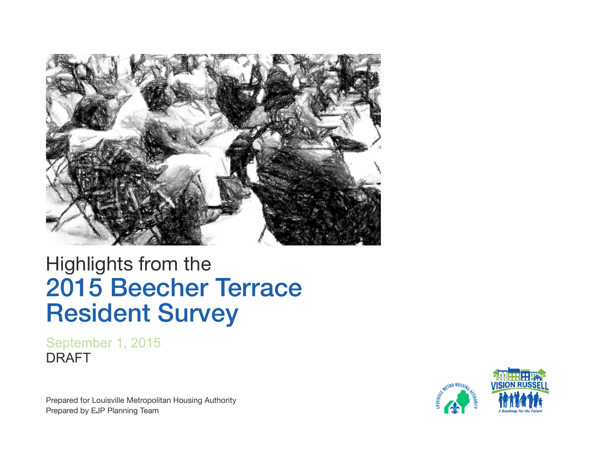

# Highlights from the 2015 Beecher Terrace Resident Survey

September 1, 2015 DRAFT

Prepared for Louisville Metropolitan Housing Authority Prepared by EJP Planning Team

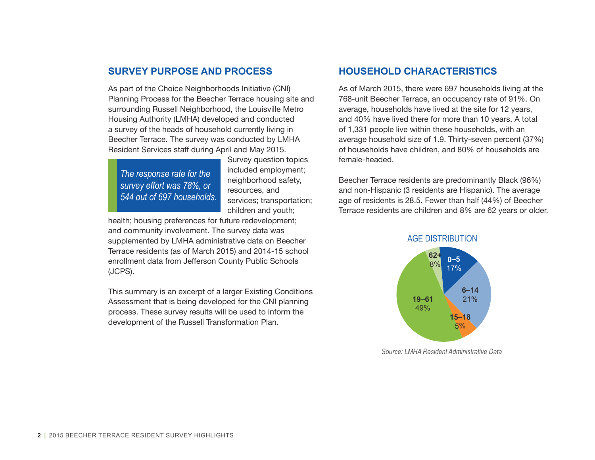### **SURVEY PURPOSE AND PROCESS**

As part of the Choice Neighborhoods Initiative (CNI) Planning Process for the Beecher Terrace housing site and surrounding Russell Neighborhood, the Louisville Metro Housing Authority (LMHA) developed and conducted a survey of the heads of household currently living in Beecher Terrace. The survey was conducted by LMHA Resident Services staff during April and May 2015.

*The response rate for the survey effort was 78%, or 544 out of 697 households.*

Survey question topics included employment; neighborhood safety, resources, and services; transportation; children and youth;

health; housing preferences for future redevelopment; and community involvement. The survey data was supplemented by LMHA administrative data on Beecher Terrace residents (as of March 2015) and 2014-15 school enrollment data from Jefferson County Public Schools (JCPS).

This summary is an excerpt of a larger Existing Conditions Assessment that is being developed for the CNI planning process. These survey results will be used to inform the development of the Russell Transformation Plan.

# **HOUSEHOLD CHARACTERISTICS**

As of March 2015, there were 697 households living at the 768-unit Beecher Terrace, an occupancy rate of 91%. On average, households have lived at the site for 12 years, and 40% have lived there for more than 10 years. A total of 1,331 people live within these households, with an average household size of 1.9. Thirty-seven percent (37%) of households have children, and 80% of households are female-headed.

Beecher Terrace residents are predominantly Black (96%) and non-Hispanic (3 residents are Hispanic). The average age of residents is 28.5. Fewer than half (44%) of Beecher Terrace residents are children and 8% are 62 years or older.



*Source: LMHA Resident Administrative Data*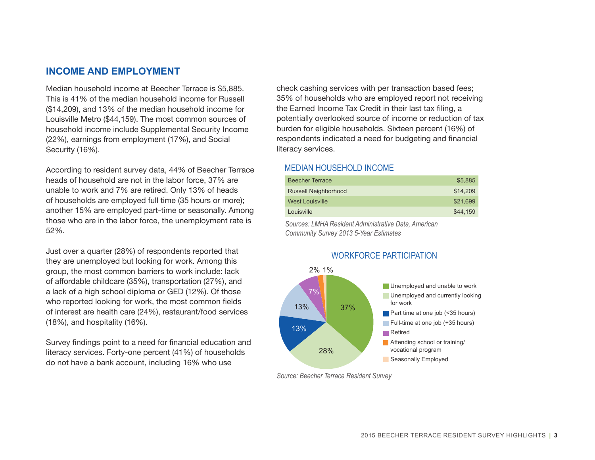### **INCOME AND EMPLOYMENT**

Median household income at Beecher Terrace is \$5,885. This is 41% of the median household income for Russell (\$14,209), and 13% of the median household income for Louisville Metro (\$44,159). The most common sources of household income include Supplemental Security Income (22%), earnings from employment (17%), and Social Security (16%).

According to resident survey data, 44% of Beecher Terrace heads of household are not in the labor force, 37% are unable to work and 7% are retired. Only 13% of heads of households are employed full time (35 hours or more); another 15% are employed part-time or seasonally. Among those who are in the labor force, the unemployment rate is 52%.

Just over a quarter (28%) of respondents reported that they are unemployed but looking for work. Among this group, the most common barriers to work include: lack of affordable childcare (35%), transportation (27%), and a lack of a high school diploma or GED (12%). Of those who reported looking for work, the most common fields of interest are health care (24%), restaurant/food services (18%), and hospitality (16%).

Survey findings point to a need for financial education and literacy services. Forty-one percent (41%) of households do not have a bank account, including 16% who use

check cashing services with per transaction based fees; 35% of households who are employed report not receiving the Earned Income Tax Credit in their last tax filing, a potentially overlooked source of income or reduction of tax burden for eligible households. Sixteen percent (16%) of respondents indicated a need for budgeting and financial literacy services.

#### MEDIAN HOUSEHOLD INCOME

| <b>Beecher Terrace</b> | \$5,885  |
|------------------------|----------|
| Russell Neighborhood   | \$14,209 |
| <b>West Louisville</b> | \$21.699 |
| Louisville             | \$44,159 |

*Sources: LMHA Resident Administrative Data, American Community Survey 2013 5-Year Estimates*



#### *Source: Beecher Terrace Resident Survey*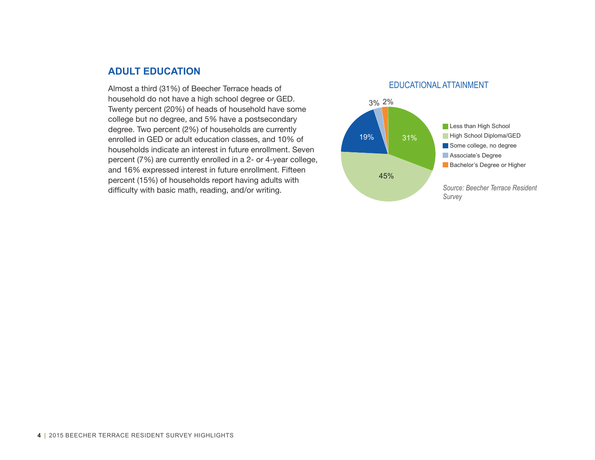#### **ADULT EDUCATION**

Almost a third (31%) of Beecher Terrace heads of household do not have a high school degree or GED. Twenty percent (20%) of heads of household have some college but no degree, and 5% have a postsecondary degree. Two percent (2%) of households are currently enrolled in GED or adult education classes, and 10% of households indicate an interest in future enrollment. Seven percent (7%) are currently enrolled in a 2- or 4-year college, and 16% expressed interest in future enrollment. Fifteen percent (15%) of households report having adults with difficulty with basic math, reading, and/or writing.

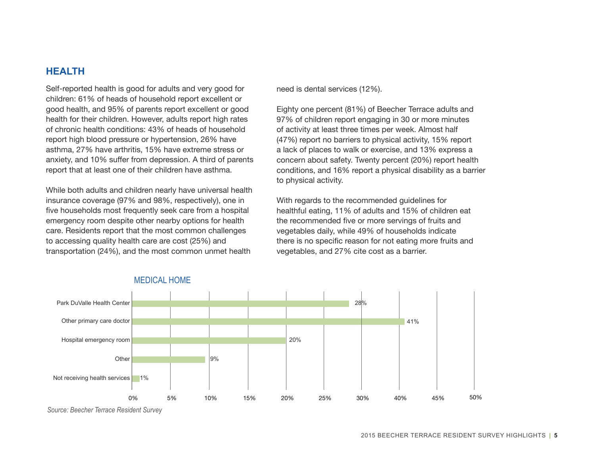# **HEALTH**

Self-reported health is good for adults and very good for children: 61% of heads of household report excellent or good health, and 95% of parents report excellent or good health for their children. However, adults report high rates of chronic health conditions: 43% of heads of household report high blood pressure or hypertension, 26% have asthma, 27% have arthritis, 15% have extreme stress or anxiety, and 10% suffer from depression. A third of parents report that at least one of their children have asthma.

While both adults and children nearly have universal health insurance coverage (97% and 98%, respectively), one in five households most frequently seek care from a hospital emergency room despite other nearby options for health care. Residents report that the most common challenges to accessing quality health care are cost (25%) and transportation (24%), and the most common unmet health

need is dental services (12%).

Eighty one percent (81%) of Beecher Terrace adults and 97% of children report engaging in 30 or more minutes of activity at least three times per week. Almost half (47%) report no barriers to physical activity, 15% report a lack of places to walk or exercise, and 13% express a concern about safety. Twenty percent (20%) report health conditions, and 16% report a physical disability as a barrier to physical activity.

With regards to the recommended guidelines for healthful eating, 11% of adults and 15% of children eat the recommended five or more servings of fruits and vegetables daily, while 49% of households indicate there is no specific reason for not eating more fruits and vegetables, and 27% cite cost as a barrier.



*Source: Beecher Terrace Resident Survey*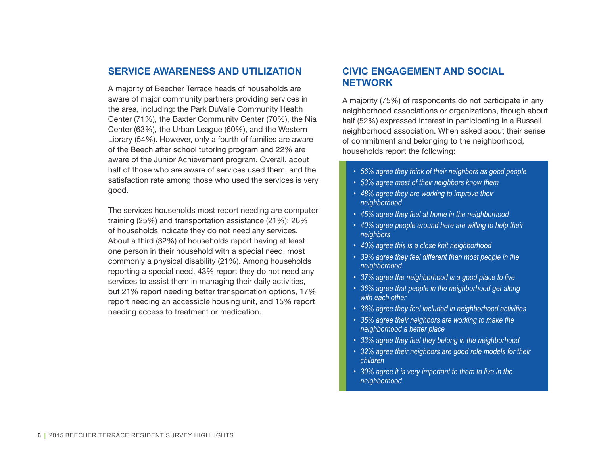#### **SERVICE AWARENESS AND UTILIZATION**

A majority of Beecher Terrace heads of households are aware of major community partners providing services in the area, including: the Park DuValle Community Health Center (71%), the Baxter Community Center (70%), the Nia Center (63%), the Urban League (60%), and the Western Library (54%). However, only a fourth of families are aware of the Beech after school tutoring program and 22% are aware of the Junior Achievement program. Overall, about half of those who are aware of services used them, and the satisfaction rate among those who used the services is very good.

The services households most report needing are computer training (25%) and transportation assistance (21%); 26% of households indicate they do not need any services. About a third (32%) of households report having at least one person in their household with a special need, most commonly a physical disability (21%). Among households reporting a special need, 43% report they do not need any services to assist them in managing their daily activities, but 21% report needing better transportation options, 17% report needing an accessible housing unit, and 15% report needing access to treatment or medication.

# **CIVIC ENGAGEMENT AND SOCIAL NETWORK**

A majority (75%) of respondents do not participate in any neighborhood associations or organizations, though about half (52%) expressed interest in participating in a Russell neighborhood association. When asked about their sense of commitment and belonging to the neighborhood, households report the following:

- *• 56% agree they think of their neighbors as good people*
- *• 53% agree most of their neighbors know them*
- *• 48% agree they are working to improve their neighborhood*
- *• 45% agree they feel at home in the neighborhood*
- *• 40% agree people around here are willing to help their neighbors*
- *• 40% agree this is a close knit neighborhood*
- *• 39% agree they feel different than most people in the neighborhood*
- *• 37% agree the neighborhood is a good place to live*
- *• 36% agree that people in the neighborhood get along with each other*
- *• 36% agree they feel included in neighborhood activities*
- *• 35% agree their neighbors are working to make the neighborhood a better place*
- *• 33% agree they feel they belong in the neighborhood*
- *• 32% agree their neighbors are good role models for their children*
- *• 30% agree it is very important to them to live in the neighborhood*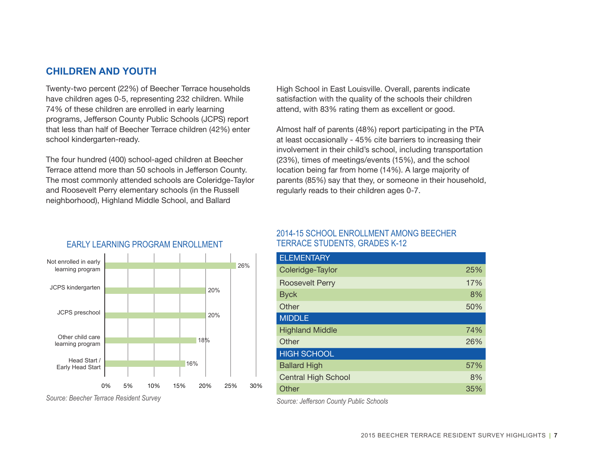# **CHILDREN AND YOUTH**

Twenty-two percent (22%) of Beecher Terrace households have children ages 0-5, representing 232 children. While 74% of these children are enrolled in early learning programs, Jefferson County Public Schools (JCPS) report that less than half of Beecher Terrace children (42%) enter school kindergarten-ready.

The four hundred (400) school-aged children at Beecher Terrace attend more than 50 schools in Jefferson County. The most commonly attended schools are Coleridge-Taylor and Roosevelt Perry elementary schools (in the Russell neighborhood), Highland Middle School, and Ballard

High School in East Louisville. Overall, parents indicate satisfaction with the quality of the schools their children attend, with 83% rating them as excellent or good.

Almost half of parents (48%) report participating in the PTA at least occasionally - 45% cite barriers to increasing their involvement in their child's school, including transportation (23%), times of meetings/events (15%), and the school location being far from home (14%). A large majority of parents (85%) say that they, or someone in their household, regularly reads to their children ages 0-7.



#### EARLY LEARNING PROGRAM ENROLLMENT

Roosevelt Perry 17% and 17% Byck and the state of the state of the state  $8\%$ Other 50% and the state of the state of the state  $50\%$ MIDDLE Highland Middle 74% Other 26% and 26% and 26% and 26% and 26% and 26% and 26% and 26% and 26% and 26% and 26% and 26% and 26% and HIGH SCHOOL Ballard High 57% and 57% Central High School 8% Other 35% and 35% and 35% and 35% and 35% and 35% and 35% and 35% and 35% and 35% and 35% and 35% and 35% and

Coleridge-Taylor 25%

2014-15 SCHOOL ENROLLMENT AMONG BEECHER

TERRACE STUDENTS, GRADES K-12

*Source: Beecher Terrace Resident Survey*

*Source: Jefferson County Public Schools*

**ELEMENTARY**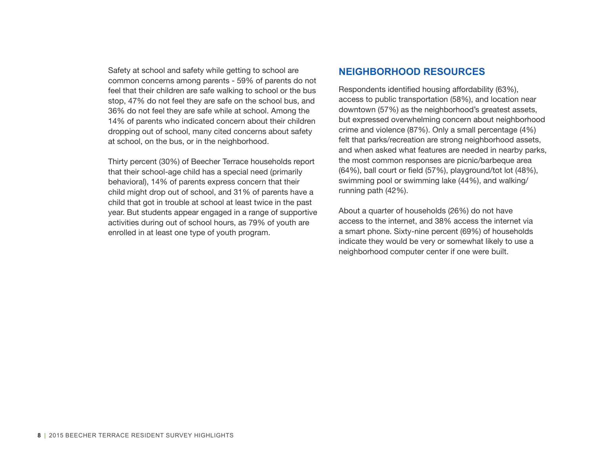Safety at school and safety while getting to school are common concerns among parents - 59% of parents do not feel that their children are safe walking to school or the bus stop, 47% do not feel they are safe on the school bus, and 36% do not feel they are safe while at school. Among the 14% of parents who indicated concern about their children dropping out of school, many cited concerns about safety at school, on the bus, or in the neighborhood.

Thirty percent (30%) of Beecher Terrace households report that their school-age child has a special need (primarily behavioral), 14% of parents express concern that their child might drop out of school, and 31% of parents have a child that got in trouble at school at least twice in the past year. But students appear engaged in a range of supportive activities during out of school hours, as 79% of youth are enrolled in at least one type of youth program.

# **NEIGHBORHOOD RESOURCES**

Respondents identified housing affordability (63%), access to public transportation (58%), and location near downtown (57%) as the neighborhood's greatest assets, but expressed overwhelming concern about neighborhood crime and violence (87%). Only a small percentage (4%) felt that parks/recreation are strong neighborhood assets, and when asked what features are needed in nearby parks, the most common responses are picnic/barbeque area (64%), ball court or field (57%), playground/tot lot (48%), swimming pool or swimming lake (44%), and walking/ running path (42%).

About a quarter of households (26%) do not have access to the internet, and 38% access the internet via a smart phone. Sixty-nine percent (69%) of households indicate they would be very or somewhat likely to use a neighborhood computer center if one were built.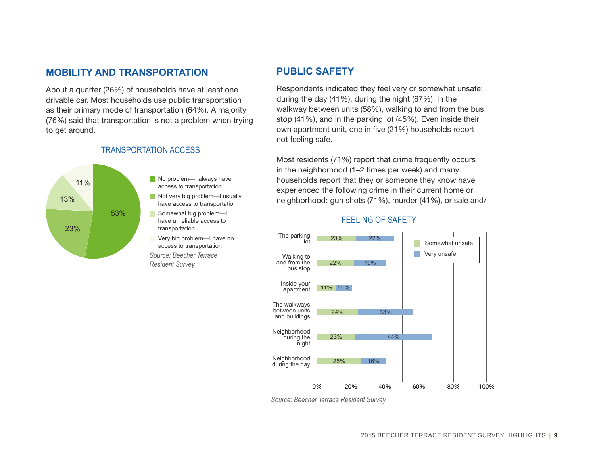# **MOBILITY AND TRANSPORTATION**

About a quarter (26%) of households have at least one drivable car. Most households use public transportation as their primary mode of transportation (64%). A majority (76%) said that transportation is not a problem when trying to get around.



#### TRANSPORTATION ACCESS

#### **PUBLIC SAFETY**

Respondents indicated they feel very or somewhat unsafe: during the day (41%), during the night (67%), in the walkway between units (58%), walking to and from the bus stop (41%), and in the parking lot (45%). Even inside their own apartment unit, one in five (21%) households report not feeling safe.

Most residents (71%) report that crime frequently occurs in the neighborhood (1–2 times per week) and many households report that they or someone they know have experienced the following crime in their current home or neighborhood: gun shots (71%), murder (41%), or sale and/



#### FEELING OF SAFETY

*Source: Beecher Terrace Resident Survey*